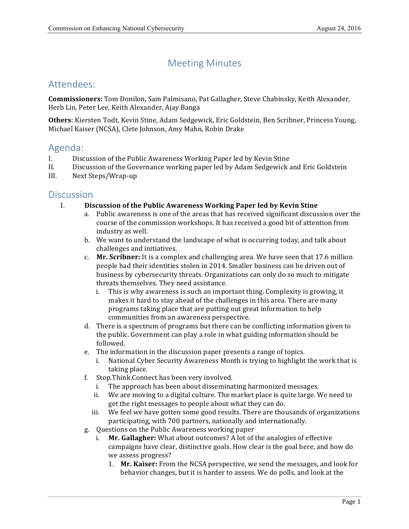# Meeting Minutes

## Attendees:

 **Commissioners:** Tom Donilon, Sam Palmisano, Pat Gallagher, Steve Chabinsky, Keith Alexander, Herb Lin, Peter Lee, Keith Alexander, Ajay Banga

Others: Kiersten Todt, Kevin Stine, Adam Sedgewick, Eric Goldstein, Ben Scribner, Princess Young, Michael Kaiser (NCSA), Clete Johnson, Amy Mahn, Robin Drake

## Agenda:

- I. Discussion of the Public Awareness Working Paper led by Kevin Stine
- II. Discussion of the Governance working paper led by Adam Sedgewick and Eric Goldstein
- III. Next Steps/Wrap-up

### **Discussion**

- I. **Discussion of the Public Awareness Working Paper led by Kevin Stine**
	- a. Public awareness is one of the areas that has received significant discussion over the course of the commission workshops. It has received a good bit of attention from industry as well.
	- b. We want to understand the landscape of what is occurring today, and talk about challenges and initiatives.
	- c. Mr. Scribner: It is a complex and challenging area. We have seen that 17.6 million people had their identities stolen in 2014. Smaller business can be driven out of business by cybersecurity threats. Organizations can only do so much to mitigate threats themselves. They need assistance.
		- i. This is why awareness is such an important thing. Complexity is growing, it makes it hard to stay ahead of the challenges in this area. There are many programs taking place that are putting out great information to help communities from an awareness perspective.
	- d. There is a spectrum of programs but there can be conflicting information given to the public. Government can play a role in what guiding information should be followed.
	- e. The information in the discussion paper presents a range of topics.
		- i. National Cyber Security Awareness Month is trying to highlight the work that is taking place.
	- f. Stop.Think.Connect has been very involved.
		- i. The approach has been about disseminating harmonized messages.
		- ii. We are moving to a digital culture. The market place is quite large. We need to get the right messages to people about what they can do.
		- iii. We feel we have gotten some good results. There are thousands of organizations participating, with 700 partners, nationally and internationally.
	- g. Questions on the Public Awareness working paper
		- i. **Mr. Gallagher:** What about outcomes? A lot of the analogies of effective campaigns have clear, distinctive goals. How clear is the goal here, and how do we assess progress?
			- 1. Mr. Kaiser: From the NCSA perspective, we send the messages, and look for behavior changes, but it is harder to assess. We do polls, and look at the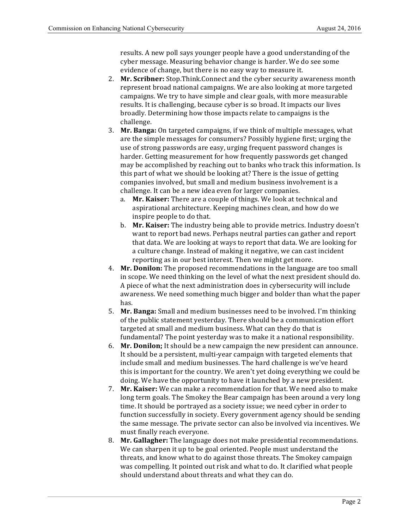results. A new poll says younger people have a good understanding of the cyber message. Measuring behavior change is harder. We do see some evidence of change, but there is no easy way to measure it.

- 2. **Mr. Scribner:** Stop.Think.Connect and the cyber security awareness month represent broad national campaigns. We are also looking at more targeted campaigns. We try to have simple and clear goals, with more measurable results. It is challenging, because cyber is so broad. It impacts our lives broadly. Determining how those impacts relate to campaigns is the challenge.
- 3. Mr. Banga: On targeted campaigns, if we think of multiple messages, what are the simple messages for consumers? Possibly hygiene first; urging the use of strong passwords are easy, urging frequent password changes is harder. Getting measurement for how frequently passwords get changed may be accomplished by reaching out to banks who track this information. Is this part of what we should be looking at? There is the issue of getting companies involved, but small and medium business involvement is a challenge. It can be a new idea even for larger companies.
	- a. Mr. Kaiser: There are a couple of things. We look at technical and aspirational architecture. Keeping machines clean, and how do we inspire people to do that.
	- b. Mr. Kaiser: The industry being able to provide metrics. Industry doesn't want to report bad news. Perhaps neutral parties can gather and report that data. We are looking at ways to report that data. We are looking for a culture change. Instead of making it negative, we can cast incident reporting as in our best interest. Then we might get more.
- 4. Mr. Donilon: The proposed recommendations in the language are too small in scope. We need thinking on the level of what the next president should do. A piece of what the next administration does in cybersecurity will include awareness. We need something much bigger and bolder than what the paper has.
- 5. Mr. Banga: Small and medium businesses need to be involved. I'm thinking of the public statement yesterday. There should be a communication effort targeted at small and medium business. What can they do that is fundamental? The point yesterday was to make it a national responsibility.
- 6. Mr. Donilon; It should be a new campaign the new president can announce. It should be a persistent, multi-year campaign with targeted elements that include small and medium businesses. The hard challenge is we've heard this is important for the country. We aren't yet doing everything we could be doing. We have the opportunity to have it launched by a new president.
- 7. Mr. Kaiser: We can make a recommendation for that. We need also to make long term goals. The Smokey the Bear campaign has been around a very long time. It should be portrayed as a society issue; we need cyber in order to function successfully in society. Every government agency should be sending the same message. The private sector can also be involved via incentives. We must finally reach everyone.
- 8. **Mr. Gallagher:** The language does not make presidential recommendations. We can sharpen it up to be goal oriented. People must understand the threats, and know what to do against those threats. The Smokey campaign was compelling. It pointed out risk and what to do. It clarified what people should understand about threats and what they can do.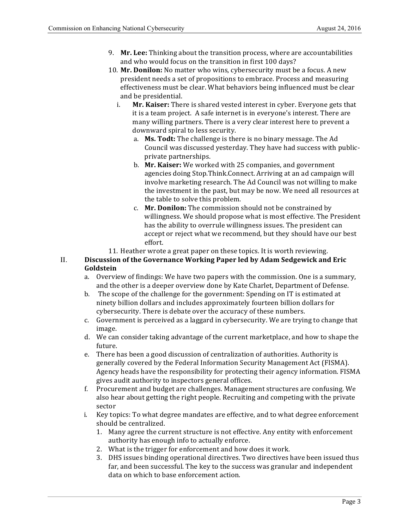- 9. Mr. Lee: Thinking about the transition process, where are accountabilities and who would focus on the transition in first 100 days?
- 10. Mr. Donilon: No matter who wins, cybersecurity must be a focus. A new president needs a set of propositions to embrace. Process and measuring effectiveness must be clear. What behaviors being influenced must be clear and be presidential.
	- i. Mr. Kaiser: There is shared vested interest in cyber. Everyone gets that it is a team project. A safe internet is in everyone's interest. There are many willing partners. There is a very clear interest here to prevent a downward spiral to less security.
		- a. Ms. Todt: The challenge is there is no binary message. The Ad Council was discussed yesterday. They have had success with public- private partnerships.
		- b. Mr. Kaiser: We worked with 25 companies, and government agencies doing Stop.Think.Connect. Arriving at an ad campaign will involve marketing research. The Ad Council was not willing to make the investment in the past, but may be now. We need all resources at the table to solve this problem.
		- c. **Mr. Donilon:** The commission should not be constrained by willingness. We should propose what is most effective. The President has the ability to overrule willingness issues. The president can accept or reject what we recommend, but they should have our best effort.
- 11. Heather wrote a great paper on these topics. It is worth reviewing.

### II. **Discussion of the Governance Working Paper led by Adam Sedgewick and Eric Goldstein**

- a. Overview of findings: We have two papers with the commission. One is a summary, and the other is a deeper overview done by Kate Charlet, Department of Defense.
- b. The scope of the challenge for the government: Spending on IT is estimated at ninety billion dollars and includes approximately fourteen billion dollars for cybersecurity. There is debate over the accuracy of these numbers.
- c. Government is perceived as a laggard in cybersecurity. We are trying to change that image.
- d. We can consider taking advantage of the current marketplace, and how to shape the future.
- e. There has been a good discussion of centralization of authorities. Authority is generally covered by the Federal Information Security Management Act (FISMA). Agency heads have the responsibility for protecting their agency information. FISMA gives audit authority to inspectors general offices.
- f. Procurement and budget are challenges. Management structures are confusing. We also hear about getting the right people. Recruiting and competing with the private sector
- i. Key topics: To what degree mandates are effective, and to what degree enforcement should be centralized.
	- 1. Many agree the current structure is not effective. Any entity with enforcement authority has enough info to actually enforce.
	- 2. What is the trigger for enforcement and how does it work.
	- 3. DHS issues binding operational directives. Two directives have been issued thus far, and been successful. The key to the success was granular and independent data on which to base enforcement action.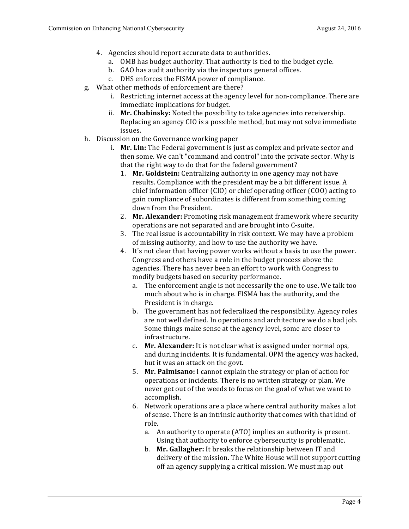- 4. Agencies should report accurate data to authorities.
	- a. OMB has budget authority. That authority is tied to the budget cycle.
	- b. GAO has audit authority via the inspectors general offices.
	- c. DHS enforces the FISMA power of compliance.
- g. What other methods of enforcement are there?
	- i. Restricting internet access at the agency level for non-compliance. There are immediate implications for budget.
	- ii. Mr. Chabinsky: Noted the possibility to take agencies into receivership. Replacing an agency CIO is a possible method, but may not solve immediate issues.
- h. Discussion on the Governance working paper
	- i. Mr. Lin: The Federal government is just as complex and private sector and then some. We can't "command and control" into the private sector. Why is that the right way to do that for the federal government?
		- 1. Mr. Goldstein: Centralizing authority in one agency may not have results. Compliance with the president may be a bit different issue. A chief information officer (CIO) or chief operating officer (COO) acting to gain compliance of subordinates is different from something coming down from the President.
		- 2. Mr. Alexander: Promoting risk management framework where security operations are not separated and are brought into C-suite.
		- 3. The real issue is accountability in risk context. We may have a problem of missing authority, and how to use the authority we have.
		- 4. It's not clear that having power works without a basis to use the power. Congress and others have a role in the budget process above the modify budgets based on security performance. agencies. There has never been an effort to work with Congress to
			- a. The enforcement angle is not necessarily the one to use. We talk too much about who is in charge. FISMA has the authority, and the President is in charge.
			- b. The government has not federalized the responsibility. Agency roles are not well defined. In operations and architecture we do a bad job. Some things make sense at the agency level, some are closer to infrastructure.
			- c. **Mr. Alexander:** It is not clear what is assigned under normal ops, and during incidents. It is fundamental. OPM the agency was hacked, but it was an attack on the govt.
			- 5. Mr. Palmisano: I cannot explain the strategy or plan of action for operations or incidents. There is no written strategy or plan. We never get out of the weeds to focus on the goal of what we want to accomplish.
			- 6. Network operations are a place where central authority makes a lot of sense. There is an intrinsic authority that comes with that kind of role.
				- a. An authority to operate (ATO) implies an authority is present. Using that authority to enforce cybersecurity is problematic.
				- b. Mr. Gallagher: It breaks the relationship between IT and delivery of the mission. The White House will not support cutting off an agency supplying a critical mission. We must map out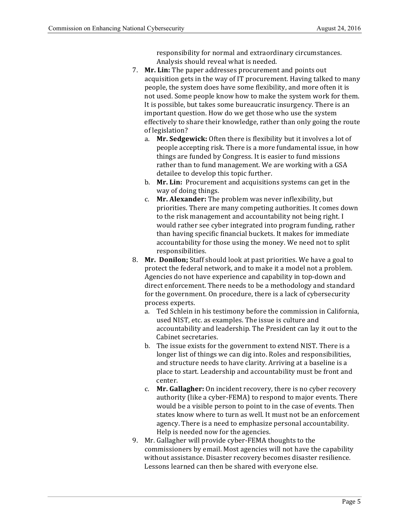responsibility for normal and extraordinary circumstances. Analysis should reveal what is needed.

- 7. **Mr. Lin:** The paper addresses procurement and points out acquisition gets in the way of IT procurement. Having talked to many people, the system does have some flexibility, and more often it is not used. Some people know how to make the system work for them. It is possible, but takes some bureaucratic insurgency. There is an important question. How do we get those who use the system effectively to share their knowledge, rather than only going the route of legislation?
	- a. Mr. Sedgewick: Often there is flexibility but it involves a lot of people accepting risk. There is a more fundamental issue, in how things are funded by Congress. It is easier to fund missions rather than to fund management. We are working with a GSA detailee to develop this topic further.
	- b. **Mr. Lin:** Procurement and acquisitions systems can get in the way of doing things.
	- c. Mr. Alexander: The problem was never inflexibility, but priorities. There are many competing authorities. It comes down to the risk management and accountability not being right. I would rather see cyber integrated into program funding, rather than having specific financial buckets. It makes for immediate accountability for those using the money. We need not to split responsibilities.
- 8. Mr. Donilon; Staff should look at past priorities. We have a goal to protect the federal network, and to make it a model not a problem. Agencies do not have experience and capability in top-down and direct enforcement. There needs to be a methodology and standard for the government. On procedure, there is a lack of cybersecurity process experts.
	- a. Ted Schlein in his testimony before the commission in California, used NIST, etc. as examples. The issue is culture and accountability and leadership. The President can lay it out to the Cabinet secretaries.
	- b. The issue exists for the government to extend NIST. There is a longer list of things we can dig into. Roles and responsibilities, and structure needs to have clarity. Arriving at a baseline is a place to start. Leadership and accountability must be front and center.
	- c. **Mr. Gallagher:** On incident recovery, there is no cyber recovery authority (like a cyber-FEMA) to respond to major events. There would be a visible person to point to in the case of events. Then states know where to turn as well. It must not be an enforcement agency. There is a need to emphasize personal accountability. Help is needed now for the agencies.
- 9. Mr. Gallagher will provide cyber-FEMA thoughts to the commissioners by email. Most agencies will not have the capability without assistance. Disaster recovery becomes disaster resilience. Lessons learned can then be shared with everyone else.